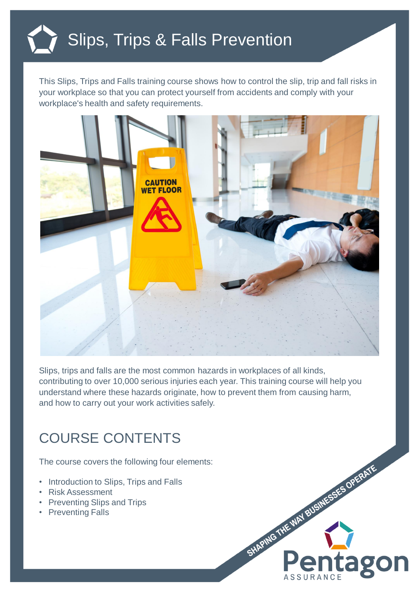

This Slips, Trips and Falls training course shows how to control the slip, trip and fall risks in your workplace so that you can protect yourself from accidents and comply with your workplace's health and safety requirements.



Slips, trips and falls are the most common hazards in workplaces of all kinds, contributing to over 10,000 serious injuries each year. This training course will help you understand where these hazards originate, how to prevent them from causing harm, and how to carry out your work activities safely.

SHAPING THE WAY BUSINESSES OPERATE

**ago** 

## COURSE CONTENTS

The course covers the following four elements:

- Introduction to Slips, Trips and Falls
- Risk Assessment
- Preventing Slips and Trips
- Preventing Falls